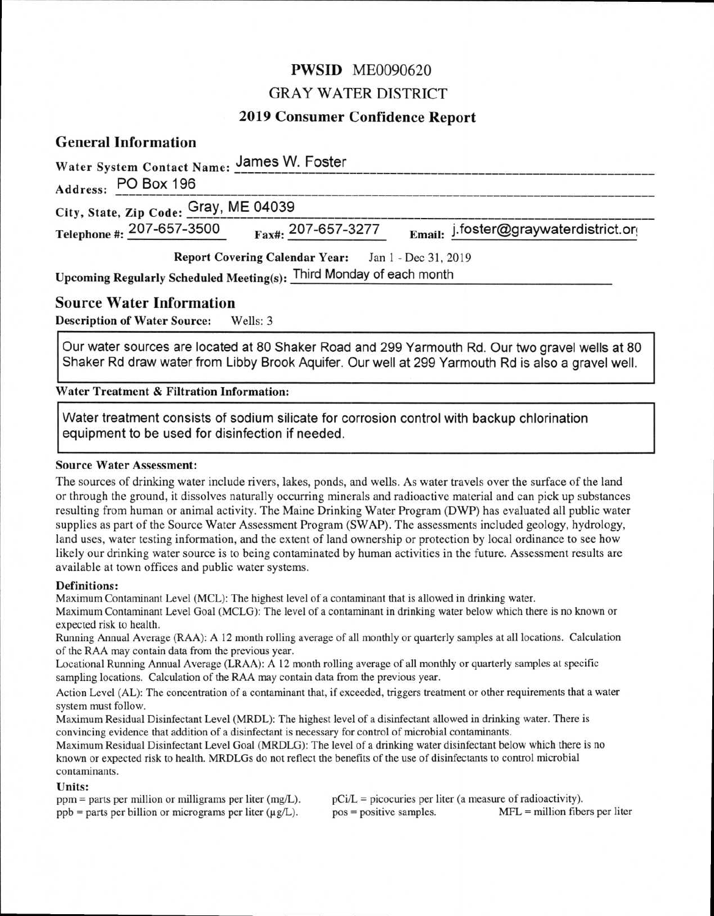# **PWSID** ME0090620

# GRAY WATER DISTRICT

# **2019 Consumer Confidence Report**

# **General Information**

| Water System Contact Name: James W. Foster                          |                                                            |                                       |
|---------------------------------------------------------------------|------------------------------------------------------------|---------------------------------------|
| Address: PO Box 196                                                 |                                                            |                                       |
| City, State, Zip Code: Gray, ME 04039                               |                                                            |                                       |
| Telephone #: 207-657-3500                                           | $_{\text{Fax}\#1}$ 207-657-3277                            | Email: j.foster@graywaterdistrict.org |
|                                                                     | <b>Report Covering Calendar Year:</b> Jan 1 - Dec 31, 2019 |                                       |
| Upcoming Regularly Scheduled Meeting(s): Third Monday of each month |                                                            |                                       |

# **Source Water Information**

**Description of Water Source:** Wells: 3

Our water sources are located at 80 Shaker Road and 299 Yarmouth Rd. Our two gravel wells at 80 Shaker Rd draw water from Libby Brook Aquifer. Our well at 299 Yarmouth Rd is also a gravel well.

**Water Treatment & Filtration Information:** 

Water treatment consists of sodium silicate for corrosion control with backup chlorination equipment to be used for disinfection if needed.

### **Source Water Assessment:**

The sources of drinking water include rivers, lakes, ponds, and wells. As water travels over the surface of the land or through the ground, it dissolves naturally occurring minerals and radioactive material and can pick up substances resulting from human or animal activity. The Maine Drinking Water Program (DWP) has evaluated all public water supplies as part of the Source Water Assessment Program (SWAP). The assessments included geology, hydrology, land uses, water testing information, and the extent of land ownership or protection by local ordinance to see how likely our drinking water source is to being contaminated by human activities in the future. Assessment results are available at town offices and public water systems.

### **Definitions:**

Maximum Contaminant Level (MCL): The highest level of a contaminant that is allowed in drinking water.

Maximum Contaminant Level Goal (MCLG): The level of a contaminant in drinking water below which there is no known or expected risk to health.

Running Annual Average (RAA): A 12 month rolling average of all monthly or quarterly samples at all locations. Calculation of the RAA may contain data from the previous year.

Locational Running Annual Average (LRAA): A 12 month rolling average of all monthly or quarterly samples at specific sampling locations. Calculation of the RAA may contain data from the previous year.

Action Level (AL): The concentration of a contaminant that, if exceeded, triggers treatment or other requirements that a water system must follow.

Maximum Residual Disinfectant Level (MRDL): The highest level of a disinfectant allowed in drinking water. There is convincing evidence that addition of a disinfectant is necessary for control of microbial contaminants.

Maximum Residual Disinfectant Level Goal (MRDLG): The level of a drinking water disinfectant below which there is no known or expected risk to health. MRDLGs do not reflect the benefits of the use of disinfectants to control microbial contaminants.

### **Units:**

ppm = parts per million or milligrams per liter (mg/L). pCi/L = picocuries per liter (a measure of radioactivity).<br>ppb = parts per billion or micrograms per liter ( $\mu$ g/L). pos = positive samples. MFL = million fibers pe  $ppb =$  parts per billion or micrograms per liter ( $\mu$ g/L).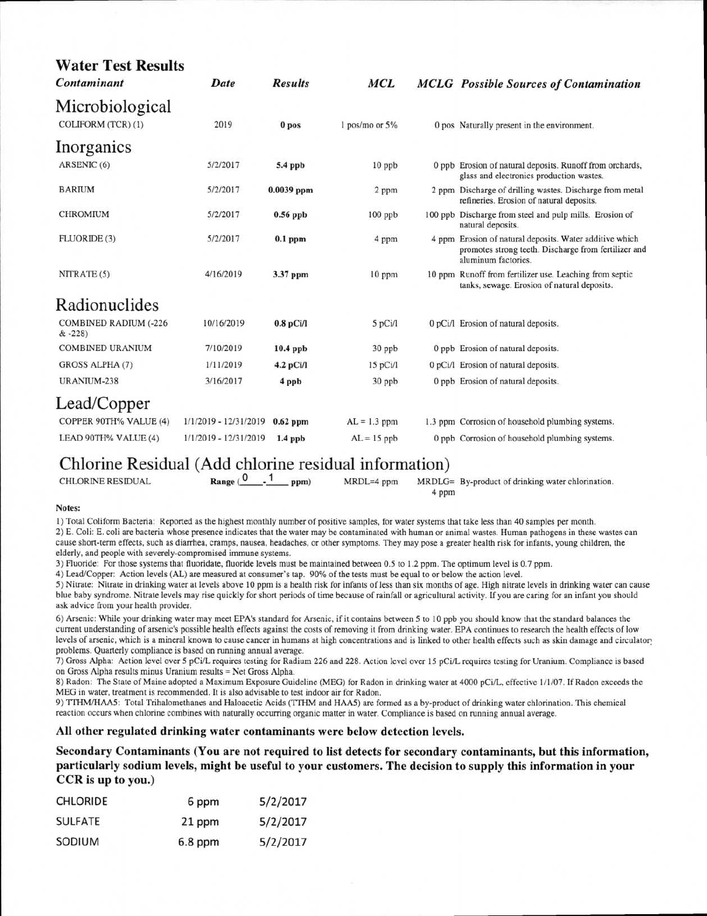| <b>Water Test Results</b><br>Contaminant | Date                  | <b>Results</b>   | <b>MCL</b>     | <b>MCLG</b> Possible Sources of Contamination                                                                                          |
|------------------------------------------|-----------------------|------------------|----------------|----------------------------------------------------------------------------------------------------------------------------------------|
| Microbiological                          |                       |                  |                |                                                                                                                                        |
| COLIFORM (TCR) (1)                       | 2019                  | 0 <sub>pos</sub> | 1 pos/mo or 5% | 0 pos Naturally present in the environment.                                                                                            |
| Inorganics                               |                       |                  |                |                                                                                                                                        |
| ARSENIC (6)                              | 5/2/2017              | $5.4$ ppb        | $10$ ppb       | 0 ppb Erosion of natural deposits. Runoff from orchards,<br>glass and electronics production wastes.                                   |
| <b>BARIUM</b>                            | 5/2/2017              | $0.0039$ ppm     | 2 ppm          | 2 ppm Discharge of drilling wastes. Discharge from metal<br>refineries. Erosion of natural deposits.                                   |
| <b>CHROMIUM</b>                          | 5/2/2017              | $0.56$ ppb       | 100 ppb        | 100 ppb Discharge from steel and pulp mills. Erosion of<br>natural deposits.                                                           |
| FLUORIDE (3)                             | 5/2/2017              | $0.1$ ppm        | 4 ppm          | 4 ppm Erosion of natural deposits. Water additive which<br>promotes strong teeth. Discharge from fertilizer and<br>aluminum factories. |
| NITRATE (5)                              | 4/16/2019             | 3.37 ppm         | 10 ppm         | 10 ppm Runoff from fertilizer use. Leaching from septic<br>tanks, sewage. Erosion of natural deposits.                                 |
| Radionuclides                            |                       |                  |                |                                                                                                                                        |
| COMBINED RADIUM (-226<br>$& -228$        | 10/16/2019            | $0.8$ pCi/l      | 5 pCi/l        | 0 pCi/l Erosion of natural deposits.                                                                                                   |
| <b>COMBINED URANIUM</b>                  | 7/10/2019             | $10.4$ ppb       | 30 ppb         | 0 ppb Erosion of natural deposits.                                                                                                     |
| GROSS ALPHA (7)                          | 1/11/2019             | 4.2 pCi/l        | 15 pCi/1       | 0 pCi/l Erosion of natural deposits.                                                                                                   |
| URANIUM-238                              | 3/16/2017             | 4 ppb            | 30 ppb         | 0 ppb Erosion of natural deposits.                                                                                                     |
| Lead/Copper                              |                       |                  |                |                                                                                                                                        |
| COPPER 90TH% VALUE (4)                   | 1/1/2019 - 12/31/2019 | $0.62$ ppm       | $AL = 1.3$ ppm | 1.3 ppm Corrosion of household plumbing systems.                                                                                       |
| LEAD 90TH% VALUE (4)                     | 1/1/2019 - 12/31/2019 | $1.4$ ppb        | $AL = 15$ ppb  | 0 ppb Corrosion of household plumbing systems.                                                                                         |

# Chlorine Residual (Add chlorine residual information)<br>CHLORINE RESIDUAL Range  $(0, 1)$  PDM) MRDL=4 ppm MRDLG

**CHLORINE RESIDUAL**  $\text{Range}$  ( $\begin{matrix} 0 & 1 \\ 1 & \text{pmm} \end{matrix}$ **MRDLG=** By-product of drinking water chlorination. 4 ppm

### **Notes:**

1) Total Coliform Bacteria: Reported as the highest monthly number of positive samples, for water systems that take less than 40 samples per month. 2) E. Coli: E. coli are bacteria whose presence indicates that the water may be contaminated with human or animal wastes. Human pathogens in these wastes can cause short-term effects, such as diarrhea, cramps, nausea, headaches, or other symptoms. They may pose a greater health risk for infants, young children, the elderly, and people with severely-compromised immune systems.

3) Fluoride: For those systems that fluoridate, fluoride levels must be maintained between 0.5 to 1.2 ppm. The optimum level is 0.7 ppm.

4) Lead/Copper: Action levels (AL) are measured at consumer's tap. 90% of the tests must be equal to or below the action level.

5) Nitrate: Nitrate in drinking water at levels above 10 ppm is a health risk for infants of less than six months of age. High nitrate levels in drinking water can cause blue baby syndrome. Nitrate levels may rise quickly for short periods of time because of rainfall or agricultural activity. If you are caring for an infant you should ask advice from your health provider.

6) Arsenic: While your drinking water may meet EPA's standard for Arsenic, if it contains between 5 to 10 ppb you should know that the standard balances the current understanding of arsenic's possible health effects against the costs of removing it from drinking water. EPA continues to research the health effects of low levels of arsenic, which is a mineral known to cause cancer in humans at high concentrations and is linked to other health effects such as skin damage and circulator. problems. Quarterly compliance is based on running annual average.

7) Gross Alpha: Action level over 5 pCi/L requires testing for Radium 226 and 228. Action level over 15 pCi/L requires testing for Uranium. Compliance is based on Gross Alpha results minus Uranium results = Net Gross Alpha.

8) Radon: The State of Maine adopted a Maximum Exposure Guideline (MEG) for Radon in drinking water at 4000 pCi/L, effective 1/1/07. If Radon exceeds the MEG in water, treatment is recommended. It is also advisable to test indoor air for Radon.

9) TTHM/HAA5: Total Trihalomethanes and Haloacetic Acids (TTHM and HAM) are formed as a by-product of drinking water chlorination. This chemical reaction occurs when chlorine combines with naturally occurring organic matter in water. Compliance is based on running annual average.

### **All other regulated drinking water contaminants were below detection levels.**

**Secondary Contaminants (You are not required to list detects for secondary contaminants, but this information, particularly sodium levels, might be useful to your customers. The decision to supply this information in your CCR is up to you.)** 

| <b>CHLORIDE</b> | 6 ppm   | 5/2/2017 |  |
|-----------------|---------|----------|--|
| SULFATE         | 21 ppm  | 5/2/2017 |  |
| SODIUM          | 6.8 ppm | 5/2/2017 |  |